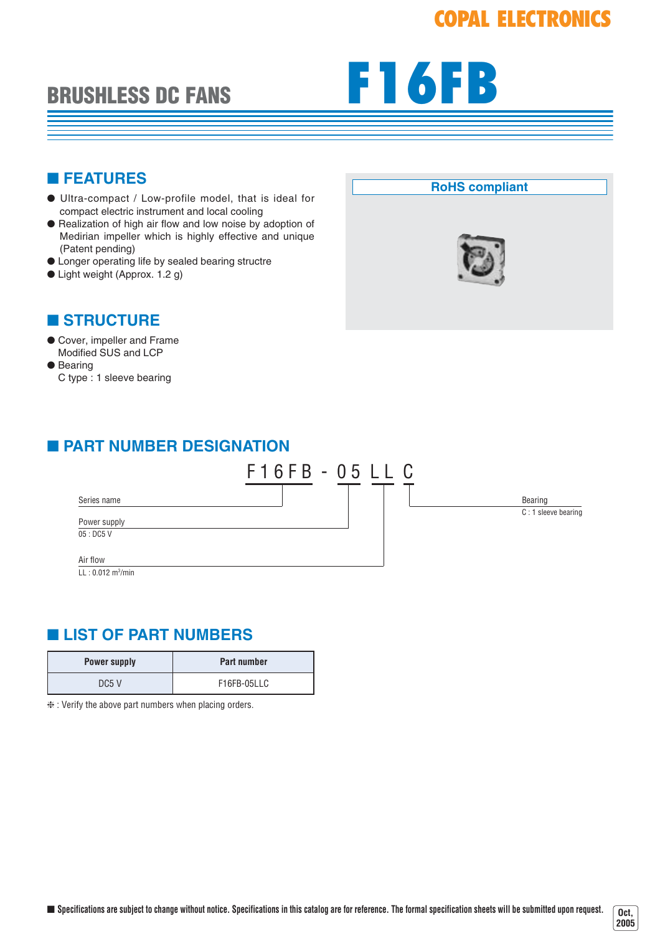# **COPAL ELECTRONICS**

# **BRUSHLESS DC FANS**



### ■ **FEATURES**

- Ultra-compact / Low-profile model, that is ideal for compact electric instrument and local cooling
- Realization of high air flow and low noise by adoption of Medirian impeller which is highly effective and unique (Patent pending)
- Longer operating life by sealed bearing structre
- Light weight (Approx. 1.2 g)

## ■ **STRUCTURE**

#### ● Cover, impeller and Frame Modified SUS and LCP

● Bearing C type : 1 sleeve bearing

### **RoHS compliant**



**Oct, 2005**

# ■ **PART NUMBER DESIGNATION**



## ■ **LIST OF PART NUMBERS**

| <b>Power supply</b> | <b>Part number</b> |
|---------------------|--------------------|
| DC5 V               | F16FB-05LLC        |

❈ : Verify the above part numbers when placing orders.